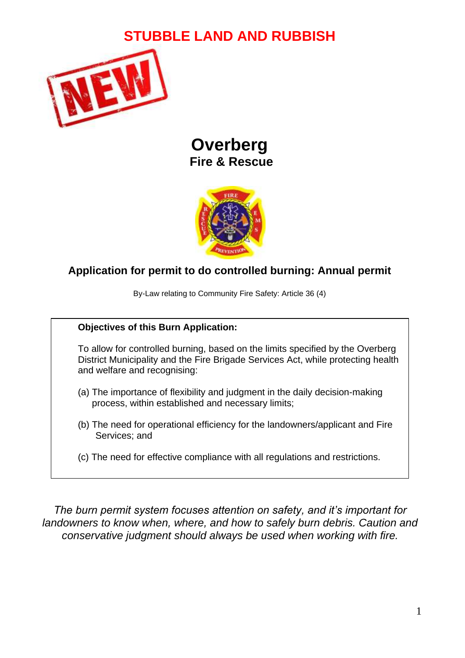# **STUBBLE LAND AND RUBBISH**



## **Overberg Fire & Rescue**



### **Application for permit to do controlled burning: Annual permit**

By-Law relating to Community Fire Safety: Article 36 (4)

#### **Objectives of this Burn Application:**

To allow for controlled burning, based on the limits specified by the Overberg District Municipality and the Fire Brigade Services Act, while protecting health and welfare and recognising:

- (a) The importance of flexibility and judgment in the daily decision-making process, within established and necessary limits;
- (b) The need for operational efficiency for the landowners/applicant and Fire Services; and
- (c) The need for effective compliance with all regulations and restrictions.

*The burn permit system focuses attention on safety, and it's important for landowners to know when, where, and how to safely burn debris. Caution and conservative judgment should always be used when working with fire.*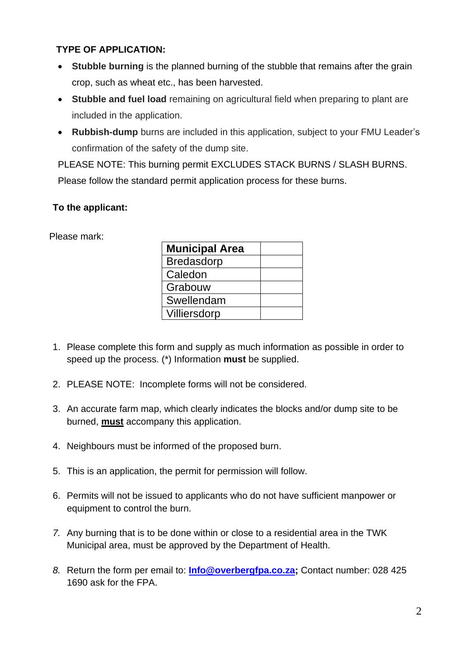#### **TYPE OF APPLICATION:**

- **Stubble burning** is the planned burning of the stubble that remains after the grain crop, such as wheat etc., has been harvested.
- **Stubble and fuel load** remaining on agricultural field when preparing to plant are included in the application.
- **Rubbish-dump** burns are included in this application, subject to your FMU Leader's confirmation of the safety of the dump site.

PLEASE NOTE: This burning permit EXCLUDES STACK BURNS / SLASH BURNS. Please follow the standard permit application process for these burns.

#### **To the applicant:**

Please mark:

| <b>Municipal Area</b> |  |
|-----------------------|--|
| <b>Bredasdorp</b>     |  |
| Caledon               |  |
| Grabouw               |  |
| Swellendam            |  |
| Villiersdorp          |  |

- 1. Please complete this form and supply as much information as possible in order to speed up the process. (\*) Information **must** be supplied.
- 2. PLEASE NOTE: Incomplete forms will not be considered.
- 3. An accurate farm map, which clearly indicates the blocks and/or dump site to be burned, **must** accompany this application.
- 4. Neighbours must be informed of the proposed burn.
- 5. This is an application, the permit for permission will follow.
- 6. Permits will not be issued to applicants who do not have sufficient manpower or equipment to control the burn.
- *7.* Any burning that is to be done within or close to a residential area in the TWK Municipal area, must be approved by the Department of Health.
- *8.* Return the form per email to: **[Info@overbergfpa.co.za;](mailto:Info@overbergfpa.co.za)** Contact number: 028 425 1690 ask for the FPA.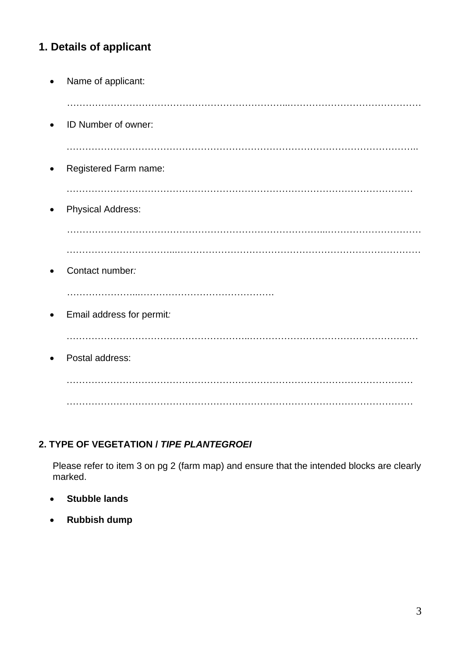## **1. Details of applicant**

|           | Name of applicant:        |
|-----------|---------------------------|
| $\bullet$ | ID Number of owner:       |
| $\bullet$ | Registered Farm name:     |
| $\bullet$ | <b>Physical Address:</b>  |
|           |                           |
| $\bullet$ | Contact number:           |
| $\bullet$ | Email address for permit: |
| $\bullet$ | Postal address:           |
|           |                           |
|           | .<br>.                    |

#### **2. TYPE OF VEGETATION /** *TIPE PLANTEGROEI*

Please refer to item 3 on pg 2 (farm map) and ensure that the intended blocks are clearly marked.

- **Stubble lands**
- **Rubbish dump**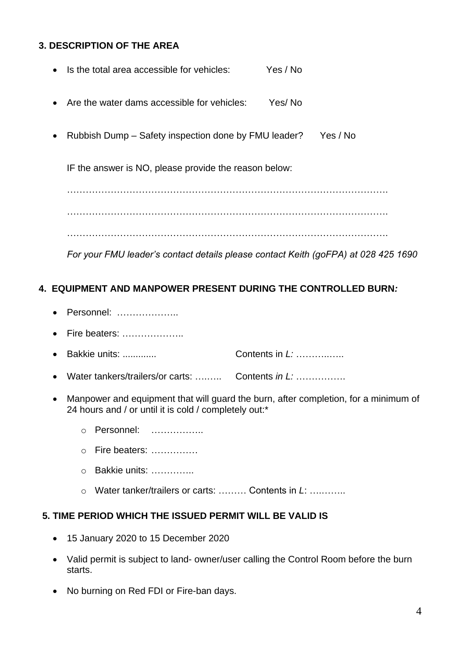#### **3. DESCRIPTION OF THE AREA**

- Is the total area accessible for vehicles: Yes / No
- Are the water dams accessible for vehicles: Yes/ No
- Rubbish Dump Safety inspection done by FMU leader? Yes / No

IF the answer is NO, please provide the reason below:

…………………………………………………………………………………………. …………………………………………………………………………………………. ………………………………………………………………………………………….

*For your FMU leader's contact details please contact Keith (goFPA) at 028 425 1690*

#### **4. EQUIPMENT AND MANPOWER PRESENT DURING THE CONTROLLED BURN***:*

- Personnel: ………………..
- Fire beaters: ………………..
- Bakkie units: ............. Contents in *L:* ………..…..
- Water tankers/trailers/or carts: ….….. Contents *in L:* …………….
- Manpower and equipment that will guard the burn, after completion, for a minimum of 24 hours and / or until it is cold / completely out:\*
	- o Personnel: ……………..
	- o Fire beaters: ……………
	- o Bakkie units: …………..
	- o Water tanker/trailers or carts: ……… Contents in *L*: ….……..

#### **5. TIME PERIOD WHICH THE ISSUED PERMIT WILL BE VALID IS**

- 15 January 2020 to 15 December 2020
- Valid permit is subject to land- owner/user calling the Control Room before the burn starts.
- No burning on Red FDI or Fire-ban days.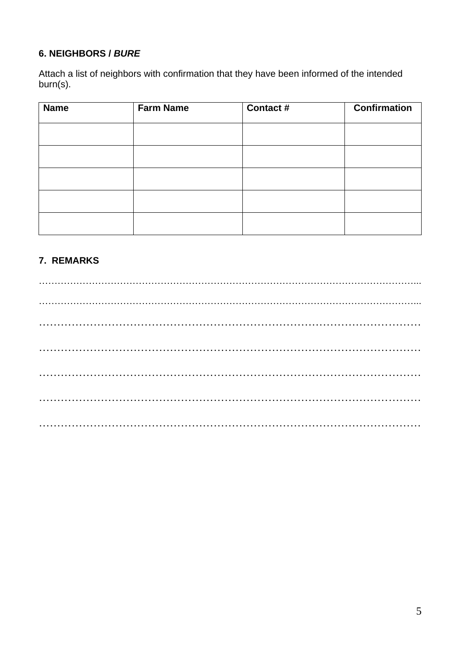#### **6. NEIGHBORS /** *BURE*

Attach a list of neighbors with confirmation that they have been informed of the intended burn(s).

| <b>Name</b> | <b>Farm Name</b> | Contact # | <b>Confirmation</b> |
|-------------|------------------|-----------|---------------------|
|             |                  |           |                     |
|             |                  |           |                     |
|             |                  |           |                     |
|             |                  |           |                     |
|             |                  |           |                     |
|             |                  |           |                     |

#### **7. REMARKS**